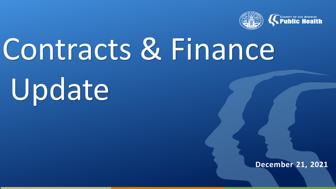

# Contracts & Finance

Update

**December 21, 2021**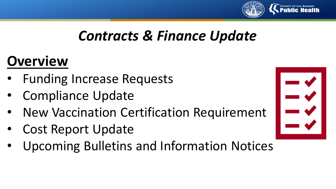

# *Contracts & Finance Update*

# **Overview**

- Funding Increase Requests
- Compliance Update
- New Vaccination Certification Requirement
- Cost Report Update
- Upcoming Bulletins and Information Notices

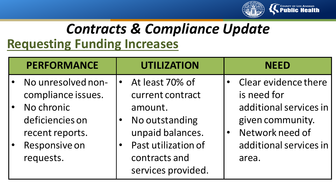

# *Contracts & Compliance Update* **Requesting Funding Increases**

| <b>PERFORMANCE</b>                                                                                                         | <b>UTILIZATION</b>                                                                                                                                 | <b>NEED</b>                                                                                                                             |
|----------------------------------------------------------------------------------------------------------------------------|----------------------------------------------------------------------------------------------------------------------------------------------------|-----------------------------------------------------------------------------------------------------------------------------------------|
| No unresolved non-<br>compliance issues.<br>No chronic<br>deficiencies on<br>recent reports.<br>Responsive on<br>requests. | At least 70% of<br>current contract<br>amount.<br>No outstanding<br>unpaid balances.<br>Past utilization of<br>contracts and<br>services provided. | Clear evidence there<br>is need for<br>additional services in<br>given community.<br>Network need of<br>additional services in<br>area. |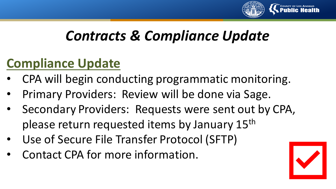

# *Contracts & Compliance Update*

## **Compliance Update**

- CPA will begin conducting programmatic monitoring.
- Primary Providers: Review will be done via Sage.
- Secondary Providers: Requests were sent out by CPA, please return requested items by January 15<sup>th</sup>
- Use of Secure File Transfer Protocol (SFTP)
- Contact CPA for more information.

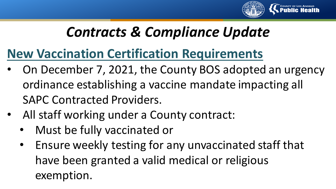

# *Contracts & Compliance Update*

#### **New Vaccination Certification Requirements**

- On December 7, 2021, the County BOS adopted an urgency ordinance establishing a vaccine mandate impacting all SAPC Contracted Providers.
- All staff working under a County contract:
	- Must be fully vaccinated or
	- Ensure weekly testing for any unvaccinated staff that have been granted a valid medical or religious exemption.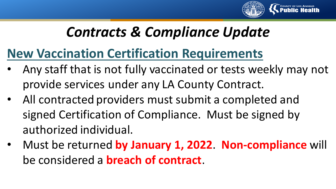

# *Contracts & Compliance Update*

#### **New Vaccination Certification Requirements**

- Any staff that is not fully vaccinated or tests weekly may not provide services under any LA County Contract.
- All contracted providers must submit a completed and signed Certification of Compliance. Must be signed by authorized individual.
- Must be returned **by January 1, 2022**. **Non-compliance** will be considered a **breach of contract**.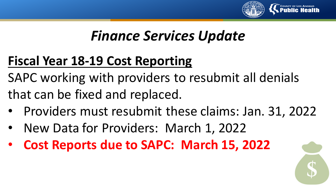

## *Finance Services Update*

## **Fiscal Year 18-19 Cost Reporting**

SAPC working with providers to resubmit all denials that can be fixed and replaced.

- Providers must resubmit these claims: Jan. 31, 2022
- New Data for Providers: March 1, 2022
- **Cost Reports due to SAPC: March 15, 2022**

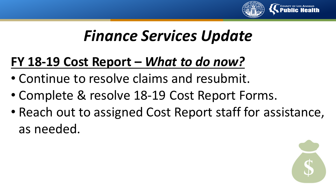

# *Finance Services Update*

## **FY 18-19 Cost Report –** *What to do now?*

- Continue to resolve claims and resubmit.
- Complete & resolve 18-19 Cost Report Forms.
- Reach out to assigned Cost Report staff for assistance, as needed.

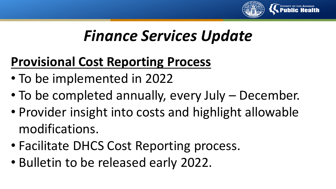

# *Finance Services Update*

## **Provisional Cost Reporting Process**

- To be implemented in 2022
- To be completed annually, every July December.
- Provider insight into costs and highlight allowable modifications.
- Facilitate DHCS Cost Reporting process.
- Bulletin to be released early 2022.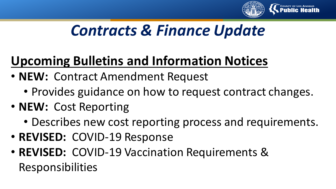

# *Contracts & Finance Update*

# **Upcoming Bulletins and Information Notices**

- **NEW:** Contract Amendment Request
	- Provides guidance on how to request contract changes.
- **NEW:** Cost Reporting
	- Describes new cost reporting process and requirements.
- **REVISED:** COVID-19 Response
- **REVISED:** COVID-19 Vaccination Requirements & Responsibilities